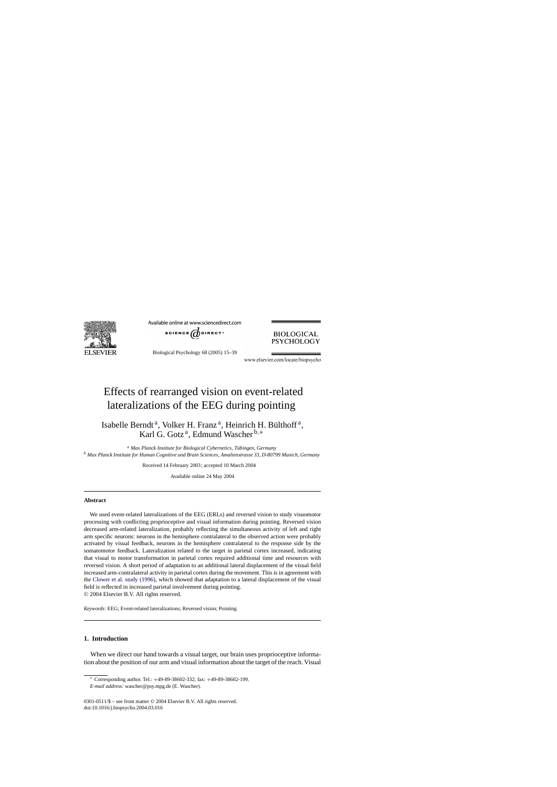

Available online at www.sciencedirect.com



Biological Psychology 68 (2005) 15–39

BIOLOGICAL **PSYCHOLOGY** 

www.elsevier.com/locate/biopsycho

# Effects of rearranged vision on event-related lateralizations of the EEG during pointing

Isabelle Berndt<sup>a</sup>, Volker H. Franz<sup>a</sup>, Heinrich H. Bülthoff<sup>a</sup>, Karl G. Gotz<sup>a</sup>, Edmund Wascher  $b.*$ 

<sup>a</sup> *Max Planck Institute for Biological Cybernetics, Tübingen, Germany* <sup>b</sup> *Max Planck Institute for Human Cognitive and Brain Sciences, Amalienstrasse 33, D-80799 Munich, Germany*

Received 14 February 2003; accepted 10 March 2004

Available online 24 May 2004

# **Abstract**

We used event-related lateralizations of the EEG (ERLs) and reversed vision to study visuomotor processing with conflicting proprioceptive and visual information during pointing. Reversed vision decreased arm-related lateralization, probably reflecting the simultaneous activity of left and right arm specific neurons: neurons in the hemisphere contralateral to the observed action were probably activated by visual feedback, neurons in the hemisphere contralateral to the response side by the somatomotor feedback. Lateralization related to the target in parietal cortex increased, indicating that visual to motor transformation in parietal cortex required additional time and resources with reversed vision. A short period of adaptation to an additional lateral displacement of the visual field increased arm-contralateral activity in parietal cortex during the movement. This is in agreement with the [Clower et al. study \(1996\),](#page-22-0) which showed that adaptation to a lateral displacement of the visual field is reflected in increased parietal involvement during pointing. © 2004 Elsevier B.V. All rights reserved.

*Keywords:* EEG; Event-related lateralizations; Reversed vision; Pointing

# **1. Introduction**

When we direct our hand towards a visual target, our brain uses proprioceptive information about the position of our arm and visual information about the target of the reach. Visual

<sup>∗</sup> Corresponding author. Tel.: +49-89-38602-332; fax: +49-89-38602-199.

*E-mail address:* wascher@psy.mpg.de (E. Wascher).

<sup>0301-0511/\$ –</sup> see front matter © 2004 Elsevier B.V. All rights reserved. doi:10.1016/j.biopsycho.2004.03.016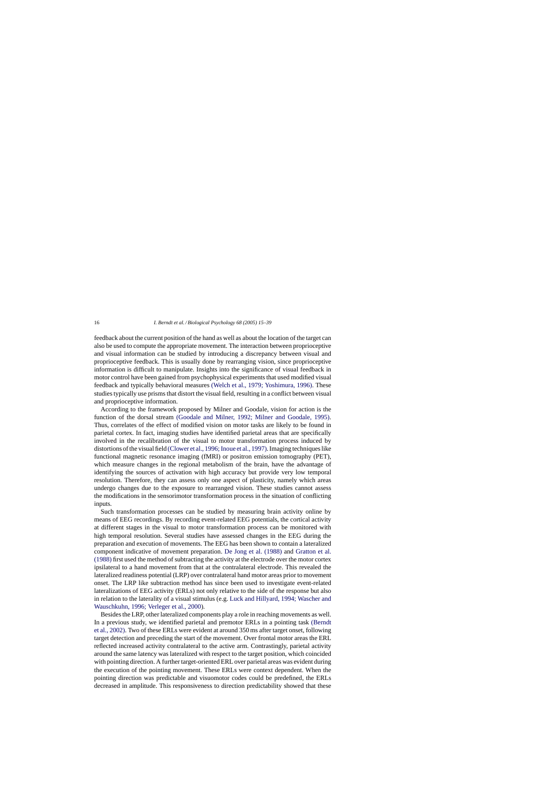feedback about the current position of the hand as well as about the location of the target can also be used to compute the appropriate movement. The interaction between proprioceptive and visual information can be studied by introducing a discrepancy between visual and proprioceptive feedback. This is usually done by rearranging vision, since proprioceptive information is difficult to manipulate. Insights into the significance of visual feedback in motor control have been gained from psychophysical experiments that used modified visual feedback and typically behavioral measures [\(Welch et al., 1979; Yoshimura, 1996\).](#page-24-0) These studies typically use prisms that distort the visual field, resulting in a conflict between visual and proprioceptive information.

According to the framework proposed by Milner and Goodale, vision for action is the function of the dorsal stream [\(Goodale and Milner, 1992; Milner and Goodale, 1995](#page-22-0)). Thus, correlates of the effect of modified vision on motor tasks are likely to be found in parietal cortex. In fact, imaging studies have identified parietal areas that are specifically involved in the recalibration of the visual to motor transformation process induced by distortions of the visual field [\(Clower et al., 1996; Inoue et al., 1997\). Im](#page-22-0)aging techniques like functional magnetic resonance imaging (fMRI) or positron emission tomography (PET), which measure changes in the regional metabolism of the brain, have the advantage of identifying the sources of activation with high accuracy but provide very low temporal resolution. Therefore, they can assess only one aspect of plasticity, namely which areas undergo changes due to the exposure to rearranged vision. These studies cannot assess the modifications in the sensorimotor transformation process in the situation of conflicting inputs.

Such transformation processes can be studied by measuring brain activity online by means of EEG recordings. By recording event-related EEG potentials, the cortical activity at different stages in the visual to motor transformation process can be monitored with high temporal resolution. Several studies have assessed changes in the EEG during the preparation and execution of movements. The EEG has been shown to contain a lateralized component indicative of movement preparation. [De Jong et al. \(1988\)](#page-22-0) and [Gratton et al.](#page-23-0) [\(1988\)](#page-23-0) first used the method of subtracting the activity at the electrode over the motor cortex ipsilateral to a hand movement from that at the contralateral electrode. This revealed the lateralized readiness potential (LRP) over contralateral hand motor areas prior to movement onset. The LRP like subtraction method has since been used to investigate event-related lateralizations of EEG activity (ERLs) not only relative to the side of the response but also in relation to the laterality of a visual stimulus (e.g. [Luck and Hillyard, 1994; Wascher and](#page-23-0) [Wauschkuhn, 1996; Verleger et al., 2000\).](#page-23-0)

Besides the LRP, other lateralized components play a role in reaching movements as well. In a previous study, we identified parietal and premotor ERLs in a pointing task [\(Berndt](#page-22-0) [et al., 2002\). T](#page-22-0)wo of these ERLs were evident at around 350 ms after target onset, following target detection and preceding the start of the movement. Over frontal motor areas the ERL reflected increased activity contralateral to the active arm. Contrastingly, parietal activity around the same latency was lateralized with respect to the target position, which coincided with pointing direction. A further target-oriented ERL over parietal areas was evident during the execution of the pointing movement. These ERLs were context dependent. When the pointing direction was predictable and visuomotor codes could be predefined, the ERLs decreased in amplitude. This responsiveness to direction predictability showed that these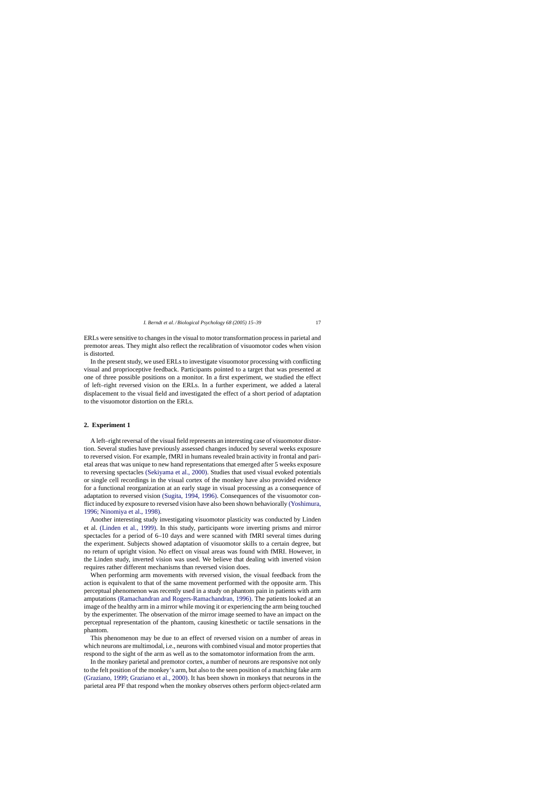ERLs were sensitive to changes in the visual to motor transformation process in parietal and premotor areas. They might also reflect the recalibration of visuomotor codes when vision is distorted.

In the present study, we used ERLs to investigate visuomotor processing with conflicting visual and proprioceptive feedback. Participants pointed to a target that was presented at one of three possible positions on a monitor. In a first experiment, we studied the effect of left–right reversed vision on the ERLs. In a further experiment, we added a lateral displacement to the visual field and investigated the effect of a short period of adaptation to the visuomotor distortion on the ERLs.

# **2. Experiment 1**

A left–right reversal of the visual field represents an interesting case of visuomotor distortion. Several studies have previously assessed changes induced by several weeks exposure to reversed vision. For example, fMRI in humans revealed brain activity in frontal and parietal areas that was unique to new hand representations that emerged after 5 weeks exposure to reversing spectacles [\(Sekiyama et al., 2000\).](#page-23-0) Studies that used visual evoked potentials or single cell recordings in the visual cortex of the monkey have also provided evidence for a functional reorganization at an early stage in visual processing as a consequence of adaptation to reversed vision [\(Sugita, 1994, 1996\).](#page-23-0) Consequences of the visuomotor conflict induced by exposure to reversed vision have also been shown behaviorally [\(Yoshimura,](#page-24-0) [1996; Ninomiya et al., 1998\).](#page-24-0)

Another interesting study investigating visuomotor plasticity was conducted by Linden et al. [\(Linden et al., 1999\).](#page-23-0) In this study, participants wore inverting prisms and mirror spectacles for a period of 6–10 days and were scanned with fMRI several times during the experiment. Subjects showed adaptation of visuomotor skills to a certain degree, but no return of upright vision. No effect on visual areas was found with fMRI. However, in the Linden study, inverted vision was used. We believe that dealing with inverted vision requires rather different mechanisms than reversed vision does.

When performing arm movements with reversed vision, the visual feedback from the action is equivalent to that of the same movement performed with the opposite arm. This perceptual phenomenon was recently used in a study on phantom pain in patients with arm amputations [\(Ramachandran and Rogers-Ramachandran, 1996\).](#page-23-0) The patients looked at an image of the healthy arm in a mirror while moving it or experiencing the arm being touched by the experimenter. The observation of the mirror image seemed to have an impact on the perceptual representation of the phantom, causing kinesthetic or tactile sensations in the phantom.

This phenomenon may be due to an effect of reversed vision on a number of areas in which neurons are multimodal, i.e., neurons with combined visual and motor properties that respond to the sight of the arm as well as to the somatomotor information from the arm.

In the monkey parietal and premotor cortex, a number of neurons are responsive not only to the felt position of the monkey's arm, but also to the seen position of a matching fake arm [\(Graziano, 1999; Graziano et al., 2000\).](#page-23-0) It has been shown in monkeys that neurons in the parietal area PF that respond when the monkey observes others perform object-related arm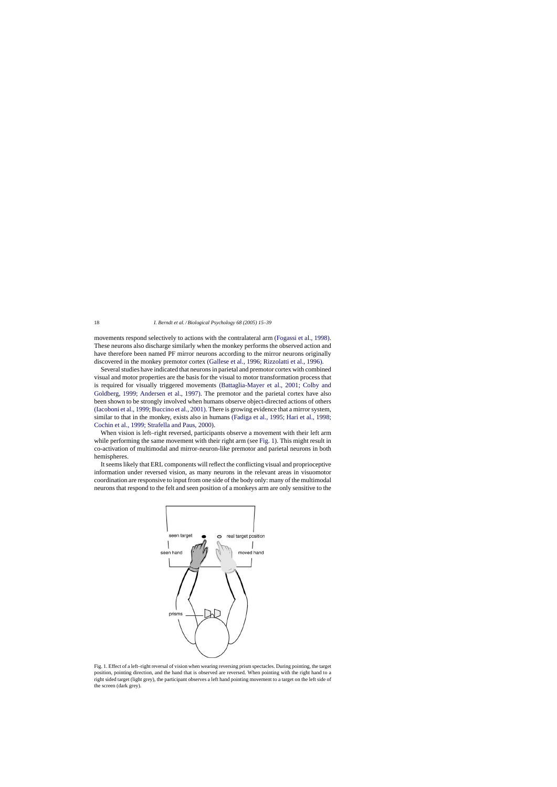movements respond selectively to actions with the contralateral arm [\(Fogassi et al., 1998\).](#page-22-0) These neurons also discharge similarly when the monkey performs the observed action and have therefore been named PF mirror neurons according to the mirror neurons originally discovered in the monkey premotor cortex [\(Gallese et al., 1996; Rizzolatti et al., 1996\).](#page-22-0)

Several studies have indicated that neurons in parietal and premotor cortex with combined visual and motor properties are the basis for the visual to motor transformation process that is required for visually triggered movements [\(Battaglia-Mayer et al., 2001; Colby and](#page-22-0) [Goldberg, 1999; Andersen et al., 1997\)](#page-22-0). The premotor and the parietal cortex have also been shown to be strongly involved when humans observe object-directed actions of others [\(Iacoboni et al., 1999; Buccino et al., 2001\). T](#page-23-0)here is growing evidence that a mirror system, similar to that in the monkey, exists also in humans [\(Fadiga et al., 1995; Hari et al., 1998;](#page-22-0) [Cochin et al., 1999; Strafella and Paus, 2000\).](#page-22-0)

When vision is left–right reversed, participants observe a movement with their left arm while performing the same movement with their right arm (see Fig. 1). This might result in co-activation of multimodal and mirror-neuron-like premotor and parietal neurons in both hemispheres.

It seems likely that ERL components will reflect the conflicting visual and proprioceptive information under reversed vision, as many neurons in the relevant areas in visuomotor coordination are responsive to input from one side of the body only: many of the multimodal neurons that respond to the felt and seen position of a monkeys arm are only sensitive to the



Fig. 1. Effect of a left–right reversal of vision when wearing reversing prism spectacles. During pointing, the target position, pointing direction, and the hand that is observed are reversed. When pointing with the right hand to a right sided target (light grey), the participant observes a left hand pointing movement to a target on the left side of the screen (dark grey).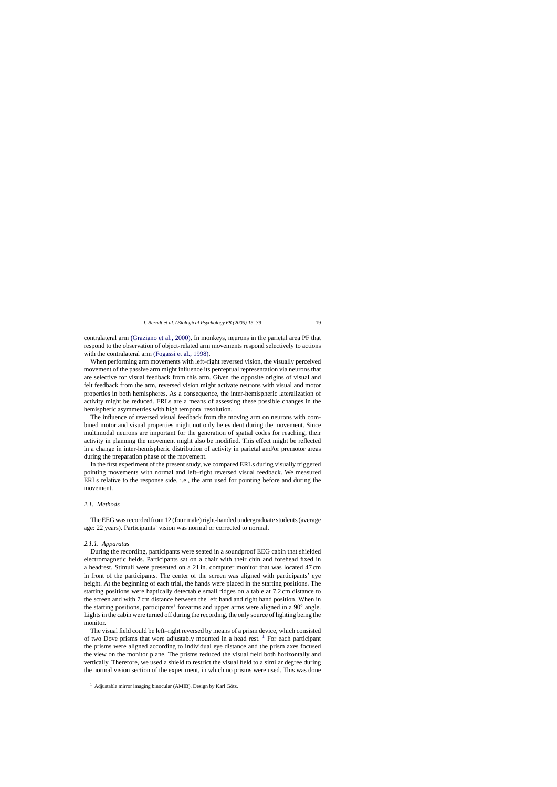contralateral arm [\(Graziano et al., 2000\).](#page-23-0) In monkeys, neurons in the parietal area PF that respond to the observation of object-related arm movements respond selectively to actions with the contralateral arm [\(Fogassi et al., 1998\).](#page-22-0)

When performing arm movements with left–right reversed vision, the visually perceived movement of the passive arm might influence its perceptual representation via neurons that are selective for visual feedback from this arm. Given the opposite origins of visual and felt feedback from the arm, reversed vision might activate neurons with visual and motor properties in both hemispheres. As a consequence, the inter-hemispheric lateralization of activity might be reduced. ERLs are a means of assessing these possible changes in the hemispheric asymmetries with high temporal resolution.

The influence of reversed visual feedback from the moving arm on neurons with combined motor and visual properties might not only be evident during the movement. Since multimodal neurons are important for the generation of spatial codes for reaching, their activity in planning the movement might also be modified. This effect might be reflected in a change in inter-hemispheric distribution of activity in parietal and/or premotor areas during the preparation phase of the movement.

In the first experiment of the present study, we compared ERLs during visually triggered pointing movements with normal and left–right reversed visual feedback. We measured ERLs relative to the response side, i.e., the arm used for pointing before and during the movement.

# *2.1. Methods*

The EEG was recorded from 12 (four male) right-handed undergraduate students (average age: 22 years). Participants' vision was normal or corrected to normal.

# *2.1.1. Apparatus*

During the recording, participants were seated in a soundproof EEG cabin that shielded electromagnetic fields. Participants sat on a chair with their chin and forehead fixed in a headrest. Stimuli were presented on a 21 in. computer monitor that was located 47 cm in front of the participants. The center of the screen was aligned with participants' eye height. At the beginning of each trial, the hands were placed in the starting positions. The starting positions were haptically detectable small ridges on a table at 7.2 cm distance to the screen and with 7 cm distance between the left hand and right hand position. When in the starting positions, participants' forearms and upper arms were aligned in a  $90°$  angle. Lights in the cabin were turned off during the recording, the only source of lighting being the monitor.

The visual field could be left–right reversed by means of a prism device, which consisted of two Dove prisms that were adjustably mounted in a head rest.  $\frac{1}{1}$  For each participant the prisms were aligned according to individual eye distance and the prism axes focused the view on the monitor plane. The prisms reduced the visual field both horizontally and vertically. Therefore, we used a shield to restrict the visual field to a similar degree during the normal vision section of the experiment, in which no prisms were used. This was done

<sup>&</sup>lt;sup>1</sup> Adjustable mirror imaging binocular (AMIB). Design by Karl Götz.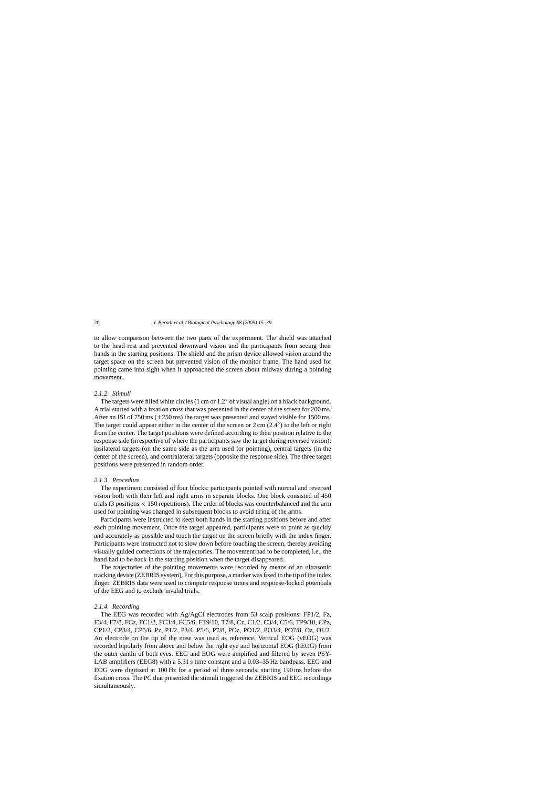to allow comparison between the two parts of the experiment. The shield was attached to the head rest and prevented downward vision and the participants from seeing their hands in the starting positions. The shield and the prism device allowed vision around the target space on the screen but prevented vision of the monitor frame. The hand used for pointing came into sight when it approached the screen about midway during a pointing movement.

## *2.1.2. Stimuli*

The targets were filled white circles (1 cm or 1.2◦ of visual angle) on a black background. A trial started with a fixation cross that was presented in the center of the screen for 200 ms. After an ISI of 750 ms  $(\pm 250 \text{ ms})$  the target was presented and stayed visible for 1500 ms. The target could appear either in the center of the screen or  $2 \text{ cm } (2.4\degree)$  to the left or right from the center. The target positions were defined according to their position relative to the response side (irrespective of where the participants saw the target during reversed vision): ipsilateral targets (on the same side as the arm used for pointing), central targets (in the center of the screen), and contralateral targets (opposite the response side). The three target positions were presented in random order.

# *2.1.3. Procedure*

The experiment consisted of four blocks: participants pointed with normal and reversed vision both with their left and right arms in separate blocks. One block consisted of 450 trials (3 positions  $\times$  150 repetitions). The order of blocks was counterbalanced and the arm used for pointing was changed in subsequent blocks to avoid tiring of the arms.

Participants were instructed to keep both hands in the starting positions before and after each pointing movement. Once the target appeared, participants were to point as quickly and accurately as possible and touch the target on the screen briefly with the index finger. Participants were instructed not to slow down before touching the screen, thereby avoiding visually guided corrections of the trajectories. The movement had to be completed, i.e., the hand had to be back in the starting position when the target disappeared.

The trajectories of the pointing movements were recorded by means of an ultrasonic tracking device (ZEBRIS system). For this purpose, a marker was fixed to the tip of the index finger. ZEBRIS data were used to compute response times and response-locked potentials of the EEG and to exclude invalid trials.

## *2.1.4. Recording*

The EEG was recorded with Ag/AgCl electrodes from 53 scalp positions: FP1/2, Fz, F3/4, F7/8, FCz, FC1/2, FC3/4, FC5/6, FT9/10, T7/8, Cz, C1/2, C3/4, C5/6, TP9/10, CPz, CP1/2, CP3/4, CP5/6, Pz, P1/2, P3/4, P5/6, P7/8, POz, PO1/2, PO3/4, PO7/8, Oz, O1/2. An electrode on the tip of the nose was used as reference. Vertical EOG (vEOG) was recorded bipolarly from above and below the right eye and horizontal EOG (hEOG) from the outer canthi of both eyes. EEG and EOG were amplified and filtered by seven PSY-LAB amplifiers (EEG8) with a 5.31 s time constant and a 0.03–35 Hz bandpass. EEG and EOG were digitized at 100 Hz for a period of three seconds, starting 190 ms before the fixation cross. The PC that presented the stimuli triggered the ZEBRIS and EEG recordings simultaneously.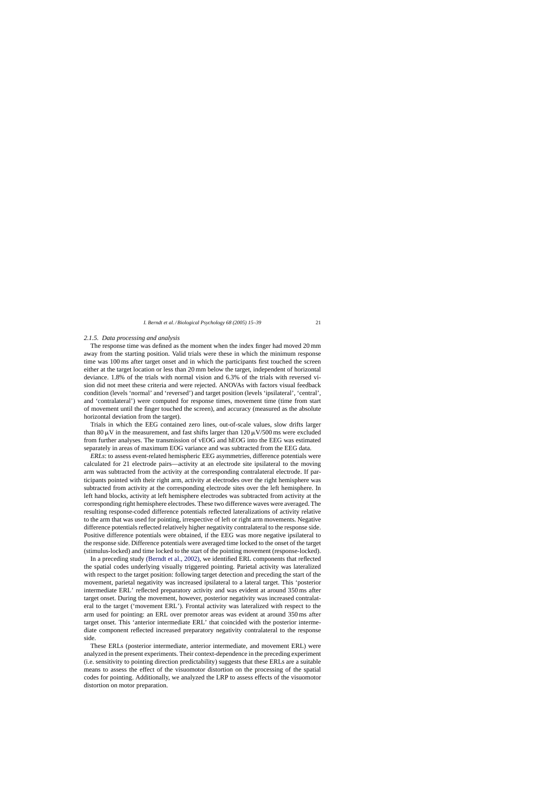#### *2.1.5. Data processing and analysis*

The response time was defined as the moment when the index finger had moved 20 mm away from the starting position. Valid trials were these in which the minimum response time was 100 ms after target onset and in which the participants first touched the screen either at the target location or less than 20 mm below the target, independent of horizontal deviance. 1.8% of the trials with normal vision and 6.3% of the trials with reversed vision did not meet these criteria and were rejected. ANOVAs with factors visual feedback condition (levels 'normal' and 'reversed') and target position (levels 'ipsilateral', 'central', and 'contralateral') were computed for response times, movement time (time from start of movement until the finger touched the screen), and accuracy (measured as the absolute horizontal deviation from the target).

Trials in which the EEG contained zero lines, out-of-scale values, slow drifts larger than 80  $\mu$ V in the measurement, and fast shifts larger than 120  $\mu$ V/500 ms were excluded from further analyses. The transmission of vEOG and hEOG into the EEG was estimated separately in areas of maximum EOG variance and was subtracted from the EEG data.

*ERLs*: to assess event-related hemispheric EEG asymmetries, difference potentials were calculated for 21 electrode pairs—activity at an electrode site ipsilateral to the moving arm was subtracted from the activity at the corresponding contralateral electrode. If participants pointed with their right arm, activity at electrodes over the right hemisphere was subtracted from activity at the corresponding electrode sites over the left hemisphere. In left hand blocks, activity at left hemisphere electrodes was subtracted from activity at the corresponding right hemisphere electrodes. These two difference waves were averaged. The resulting response-coded difference potentials reflected lateralizations of activity relative to the arm that was used for pointing, irrespective of left or right arm movements. Negative difference potentials reflected relatively higher negativity contralateral to the response side. Positive difference potentials were obtained, if the EEG was more negative ipsilateral to the response side. Difference potentials were averaged time locked to the onset of the target (stimulus-locked) and time locked to the start of the pointing movement (response-locked).

In a preceding study [\(Berndt et al., 2002\),](#page-22-0) we identified ERL components that reflected the spatial codes underlying visually triggered pointing. Parietal activity was lateralized with respect to the target position: following target detection and preceding the start of the movement, parietal negativity was increased ipsilateral to a lateral target. This 'posterior intermediate ERL' reflected preparatory activity and was evident at around 350 ms after target onset. During the movement, however, posterior negativity was increased contralateral to the target ('movement ERL'). Frontal activity was lateralized with respect to the arm used for pointing: an ERL over premotor areas was evident at around 350 ms after target onset. This 'anterior intermediate ERL' that coincided with the posterior intermediate component reflected increased preparatory negativity contralateral to the response side.

These ERLs (posterior intermediate, anterior intermediate, and movement ERL) were analyzed in the present experiments. Their context-dependence in the preceding experiment (i.e. sensitivity to pointing direction predictability) suggests that these ERLs are a suitable means to assess the effect of the visuomotor distortion on the processing of the spatial codes for pointing. Additionally, we analyzed the LRP to assess effects of the visuomotor distortion on motor preparation.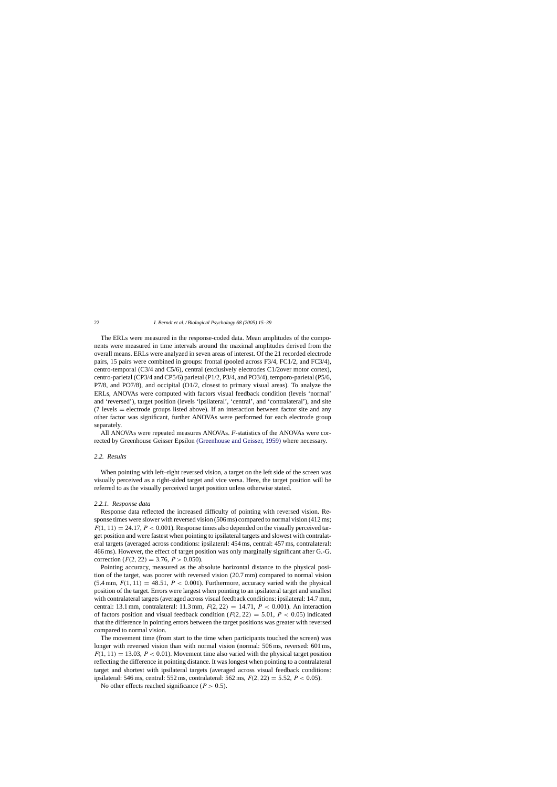The ERLs were measured in the response-coded data. Mean amplitudes of the components were measured in time intervals around the maximal amplitudes derived from the overall means. ERLs were analyzed in seven areas of interest. Of the 21 recorded electrode pairs, 15 pairs were combined in groups: frontal (pooled across F3/4, FC1/2, and FC3/4), centro-temporal (C3/4 and C5/6), central (exclusively electrodes C1/2over motor cortex), centro-parietal (CP3/4 and CP5/6) parietal (P1/2, P3/4, and PO3/4), temporo-parietal (P5/6, P7/8, and PO7/8), and occipital (O1/2, closest to primary visual areas). To analyze the ERLs, ANOVAs were computed with factors visual feedback condition (levels 'normal' and 'reversed'), target position (levels 'ipsilateral', 'central', and 'contralateral'), and site  $(7 \text{ levels} = \text{electrode groups listed above})$ . If an interaction between factor site and any other factor was significant, further ANOVAs were performed for each electrode group separately.

All ANOVAs were repeated measures ANOVAs. *F*-statistics of the ANOVAs were corrected by Greenhouse Geisser Epsilon [\(Greenhouse and Geisser, 1959\)](#page-23-0) where necessary.

#### *2.2. Results*

When pointing with left–right reversed vision, a target on the left side of the screen was visually perceived as a right-sided target and vice versa. Here, the target position will be referred to as the visually perceived target position unless otherwise stated.

# *2.2.1. Response data*

Response data reflected the increased difficulty of pointing with reversed vision. Response times were slower with reversed vision (506 ms) compared to normal vision (412 ms;  $F(1, 11) = 24.17$ ,  $P < 0.001$ ). Response times also depended on the visually perceived target position and were fastest when pointing to ipsilateral targets and slowest with contralateral targets (averaged across conditions: ipsilateral: 454 ms, central: 457 ms, contralateral: 466 ms). However, the effect of target position was only marginally significant after G.-G. correction ( $F(2, 22) = 3.76$ ,  $P > 0.050$ ).

Pointing accuracy, measured as the absolute horizontal distance to the physical position of the target, was poorer with reversed vision (20.7 mm) compared to normal vision  $(5.4 \text{ mm}, F(1, 11) = 48.51, P < 0.001)$ . Furthermore, accuracy varied with the physical position of the target. Errors were largest when pointing to an ipsilateral target and smallest with contralateral targets (averaged across visual feedback conditions: ipsilateral: 14.7 mm, central: 13.1 mm, contralateral: 11.3 mm,  $F(2, 22) = 14.71$ ,  $P < 0.001$ ). An interaction of factors position and visual feedback condition  $(F(2, 22) = 5.01, P < 0.05)$  indicated that the difference in pointing errors between the target positions was greater with reversed compared to normal vision.

The movement time (from start to the time when participants touched the screen) was longer with reversed vision than with normal vision (normal: 506 ms, reversed: 601 ms,  $F(1, 11) = 13.03$ ,  $P < 0.01$ ). Movement time also varied with the physical target position reflecting the difference in pointing distance. It was longest when pointing to a contralateral target and shortest with ipsilateral targets (averaged across visual feedback conditions: ipsilateral: 546 ms, central: 552 ms, contralateral: 562 ms,  $F(2, 22) = 5.52$ ,  $P < 0.05$ ).

No other effects reached significance ( $P > 0.5$ ).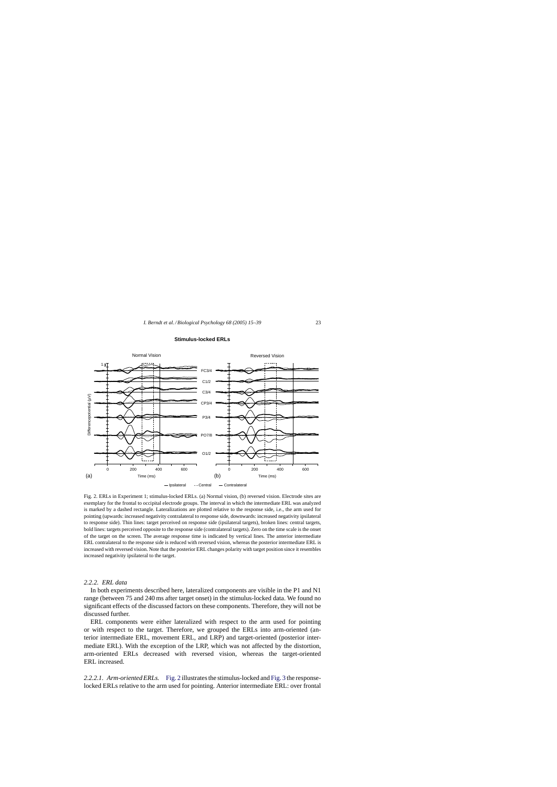<span id="page-8-0"></span>

#### **Stimulus-locked ERLs**

Fig. 2. ERLs in Experiment 1; stimulus-locked ERLs. (a) Normal vision, (b) reversed vision. Electrode sites are exemplary for the frontal to occipital electrode groups. The interval in which the intermediate ERL was analyzed is marked by a dashed rectangle. Lateralizations are plotted relative to the response side, i.e., the arm used for pointing (upwards: increased negativity contralateral to response side, downwards: increased negativity ipsilateral to response side). Thin lines: target perceived on response side (ipsilateral targets), broken lines: central targets, bold lines: targets perceived opposite to the response side (contralateral targets). Zero on the time scale is the onset of the target on the screen. The average response time is indicated by vertical lines. The anterior intermediate ERL contralateral to the response side is reduced with reversed vision, whereas the posterior intermediate ERL is increased with reversed vision. Note that the posterior ERL changes polarity with target position since it resembles increased negativity ipsilateral to the target.

*2.2.2. ERL data*

In both experiments described here, lateralized components are visible in the P1 and N1 range (between 75 and 240 ms after target onset) in the stimulus-locked data. We found no significant effects of the discussed factors on these components. Therefore, they will not be discussed further.

ERL components were either lateralized with respect to the arm used for pointing or with respect to the target. Therefore, we grouped the ERLs into arm-oriented (anterior intermediate ERL, movement ERL, and LRP) and target-oriented (posterior intermediate ERL). With the exception of the LRP, which was not affected by the distortion, arm-oriented ERLs decreased with reversed vision, whereas the target-oriented ERL increased.

2.2.2.1. Arm-oriented ERLs. Fig. 2 illustrates the stimulus-locked and [Fig. 3](#page-9-0) the responselocked ERLs relative to the arm used for pointing. Anterior intermediate ERL: over frontal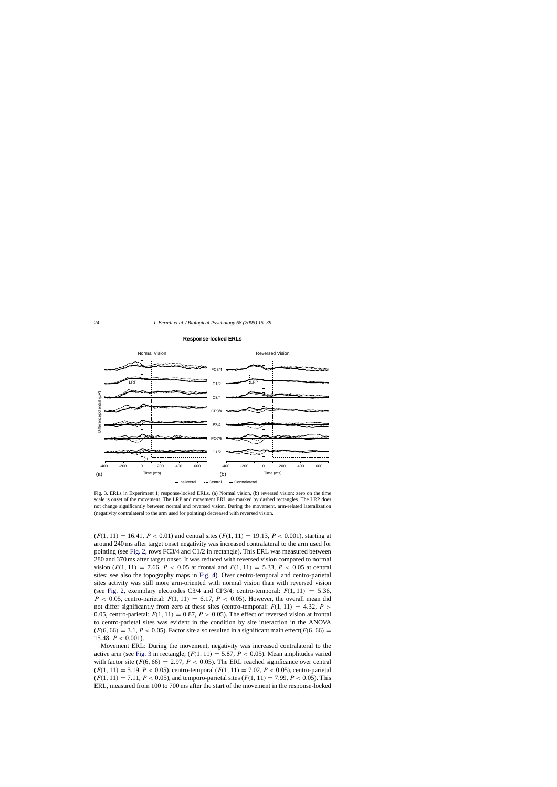<span id="page-9-0"></span>

#### **Response-locked ERLs**

Fig. 3. ERLs in Experiment 1; response-locked ERLs. (a) Normal vision, (b) reversed vision: zero on the time scale is onset of the movement. The LRP and movement ERL are marked by dashed rectangles. The LRP does not change significantly between normal and reversed vision. During the movement, arm-related lateralization (negativity contralateral to the arm used for pointing) decreased with reversed vision.

 $(F(1, 11) = 16.41, P < 0.01)$  and central sites  $(F(1, 11) = 19.13, P < 0.001)$ , starting at around 240 ms after target onset negativity was increased contralateral to the arm used for pointing (see [Fig. 2, r](#page-8-0)ows FC3/4 and C1/2 in rectangle). This ERL was measured between 280 and 370 ms after target onset. It was reduced with reversed vision compared to normal vision  $(F(1, 11) = 7.66, P < 0.05$  at frontal and  $F(1, 11) = 5.33, P < 0.05$  at central sites; see also the topography maps in [Fig. 4\).](#page-10-0) Over centro-temporal and centro-parietal sites activity was still more arm-oriented with normal vision than with reversed vision (see [Fig. 2,](#page-8-0) exemplary electrodes C3/4 and CP3/4; centro-temporal:  $F(1, 11) = 5.36$ ,  $P < 0.05$ , centro-parietal:  $F(1, 11) = 6.17$ ,  $P < 0.05$ ). However, the overall mean did not differ significantly from zero at these sites (centro-temporal:  $F(1, 11) = 4.32$ ,  $P >$ 0.05, centro-parietal:  $F(1, 11) = 0.87$ ,  $P > 0.05$ ). The effect of reversed vision at frontal to centro-parietal sites was evident in the condition by site interaction in the ANOVA  $(F(6, 66) = 3.1, P < 0.05)$ . Factor site also resulted in a significant main effect  $(F(6, 66) =$ 15.48,  $P < 0.001$ ).

Movement ERL: During the movement, negativity was increased contralateral to the active arm (see Fig. 3 in rectangle;  $(F(1, 11) = 5.87, P < 0.05)$ ). Mean amplitudes varied with factor site ( $F(6, 66) = 2.97$ ,  $P < 0.05$ ). The ERL reached significance over central  $(F(1, 11) = 5.19, P < 0.05)$ , centro-temporal  $(F(1, 11) = 7.02, P < 0.05)$ , centro-parietal  $(F(1, 11) = 7.11, P < 0.05)$ , and temporo-parietal sites  $(F(1, 11) = 7.99, P < 0.05)$ . This ERL, measured from 100 to 700 ms after the start of the movement in the response-locked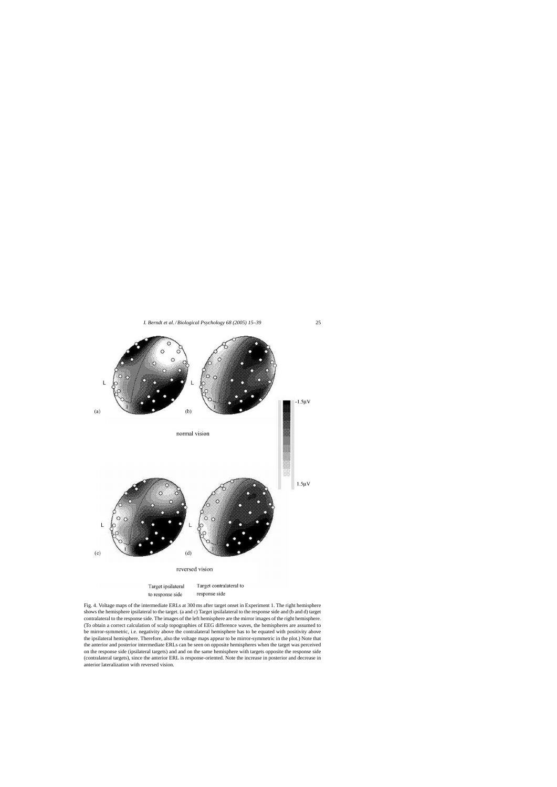<span id="page-10-0"></span>

Fig. 4. Voltage maps of the intermediate ERLs at 300 ms after target onset in Experiment 1. The right hemisphere shows the hemisphere ipsilateral to the target. (a and c) Target ipsilalateral to the response side and (b and d) target contralateral to the response side. The images of the left hemisphere are the mirror images of the right hemisphere. (To obtain a correct calculation of scalp topographies of EEG difference waves, the hemispheres are assumed to be mirror-symmetric, i.e. negativity above the contralateral hemisphere has to be equated with positivity above the ipsilateral hemisphere. Therefore, also the voltage maps appear to be mirror-symmetric in the plot.) Note that the anterior and posterior intermediate ERLs can be seen on opposite hemispheres when the target was perceived on the response side (ipsilateral targets) and and on the same hemisphere with targets opposite the response side (contralateral targets), since the anterior ERL is response-oriented. Note the increase in posterior and decrease in anterior lateralization with reversed vision.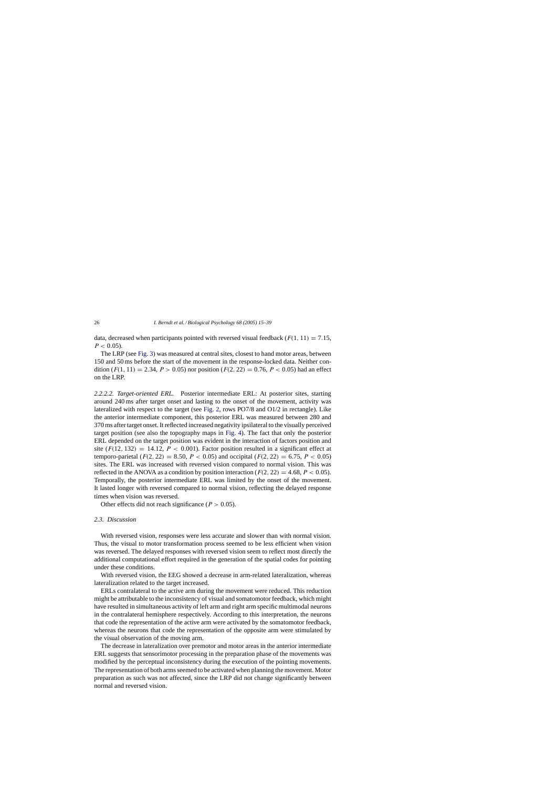data, decreased when participants pointed with reversed visual feedback  $(F(1, 11) = 7.15$ ,  $P < 0.05$ ).

The LRP (see [Fig. 3\)](#page-9-0) was measured at central sites, closest to hand motor areas, between 150 and 50 ms before the start of the movement in the response-locked data. Neither condition  $(F(1, 11) = 2.34, P > 0.05)$  nor position  $(F(2, 22) = 0.76, P < 0.05)$  had an effect on the LRP.

*2.2.2.2. Target-oriented ERL.* Posterior intermediate ERL: At posterior sites, starting around 240 ms after target onset and lasting to the onset of the movement, activity was lateralized with respect to the target (see [Fig. 2,](#page-8-0) rows PO7/8 and O1/2 in rectangle). Like the anterior intermediate component, this posterior ERL was measured between 280 and 370 ms after target onset. It reflected increased negativity ipsilateral to the visually perceived target position (see also the topography maps in [Fig. 4\).](#page-10-0) The fact that only the posterior ERL depended on the target position was evident in the interaction of factors position and site  $(F(12, 132) = 14.12, P < 0.001)$ . Factor position resulted in a significant effect at temporo-parietal  $(F(2, 22) = 8.50, P < 0.05)$  and occipital  $(F(2, 22) = 6.75, P < 0.05)$ sites. The ERL was increased with reversed vision compared to normal vision. This was reflected in the ANOVA as a condition by position interaction ( $F(2, 22) = 4.68$ ,  $P < 0.05$ ). Temporally, the posterior intermediate ERL was limited by the onset of the movement. It lasted longer with reversed compared to normal vision, reflecting the delayed response times when vision was reversed.

Other effects did not reach significance ( $P > 0.05$ ).

# *2.3. Discussion*

With reversed vision, responses were less accurate and slower than with normal vision. Thus, the visual to motor transformation process seemed to be less efficient when vision was reversed. The delayed responses with reversed vision seem to reflect most directly the additional computational effort required in the generation of the spatial codes for pointing under these conditions.

With reversed vision, the EEG showed a decrease in arm-related lateralization, whereas lateralization related to the target increased.

ERLs contralateral to the active arm during the movement were reduced. This reduction might be attributable to the inconsistency of visual and somatomotor feedback, which might have resulted in simultaneous activity of left arm and right arm specific multimodal neurons in the contralateral hemisphere respectively. According to this interpretation, the neurons that code the representation of the active arm were activated by the somatomotor feedback, whereas the neurons that code the representation of the opposite arm were stimulated by the visual observation of the moving arm.

The decrease in lateralization over premotor and motor areas in the anterior intermediate ERL suggests that sensorimotor processing in the preparation phase of the movements was modified by the perceptual inconsistency during the execution of the pointing movements. The representation of both arms seemed to be activated when planning the movement. Motor preparation as such was not affected, since the LRP did not change significantly between normal and reversed vision.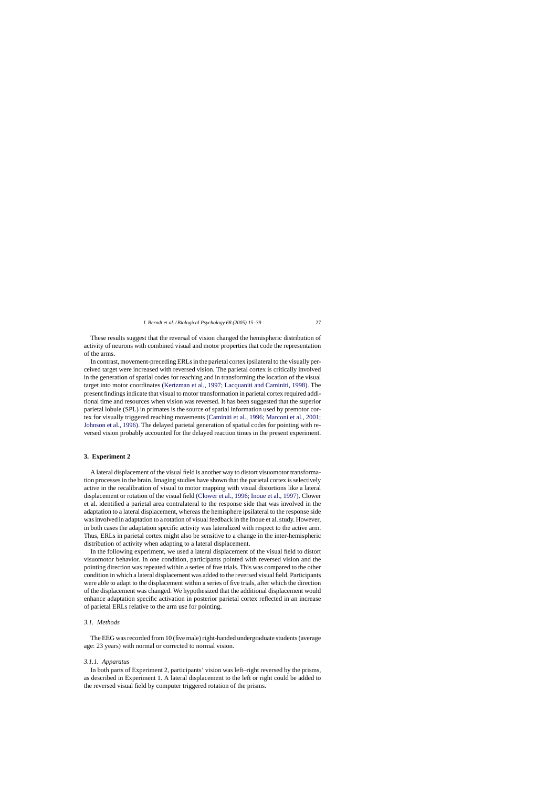These results suggest that the reversal of vision changed the hemispheric distribution of activity of neurons with combined visual and motor properties that code the representation of the arms.

In contrast, movement-preceding ERLs in the parietal cortex ipsilateral to the visually perceived target were increased with reversed vision. The parietal cortex is critically involved in the generation of spatial codes for reaching and in transforming the location of the visual target into motor coordinates [\(Kertzman et al., 1997; Lacquaniti and Caminiti, 1998\).](#page-23-0) The present findings indicate that visual to motor transformation in parietal cortex required additional time and resources when vision was reversed. It has been suggested that the superior parietal lobule (SPL) in primates is the source of spatial information used by premotor cortex for visually triggered reaching movements [\(Caminiti et al., 1996; Marconi et al., 2001;](#page-22-0) [Johnson et al., 1996\). T](#page-22-0)he delayed parietal generation of spatial codes for pointing with reversed vision probably accounted for the delayed reaction times in the present experiment.

## **3. Experiment 2**

A lateral displacement of the visual field is another way to distort visuomotor transformation processes in the brain. Imaging studies have shown that the parietal cortex is selectively active in the recalibration of visual to motor mapping with visual distortions like a lateral displacement or rotation of the visual field [\(Clower et al., 1996; Inoue et al., 1997\). C](#page-22-0)lower et al. identified a parietal area contralateral to the response side that was involved in the adaptation to a lateral displacement, whereas the hemisphere ipsilateral to the response side was involved in adaptation to a rotation of visual feedback in the Inoue et al. study. However, in both cases the adaptation specific activity was lateralized with respect to the active arm. Thus, ERLs in parietal cortex might also be sensitive to a change in the inter-hemispheric distribution of activity when adapting to a lateral displacement.

In the following experiment, we used a lateral displacement of the visual field to distort visuomotor behavior. In one condition, participants pointed with reversed vision and the pointing direction was repeated within a series of five trials. This was compared to the other condition in which a lateral displacement was added to the reversed visual field. Participants were able to adapt to the displacement within a series of five trials, after which the direction of the displacement was changed. We hypothesized that the additional displacement would enhance adaptation specific activation in posterior parietal cortex reflected in an increase of parietal ERLs relative to the arm use for pointing.

# *3.1. Methods*

The EEG was recorded from 10 (five male) right-handed undergraduate students (average age: 23 years) with normal or corrected to normal vision.

# *3.1.1. Apparatus*

In both parts of Experiment 2, participants' vision was left–right reversed by the prisms, as described in Experiment 1. A lateral displacement to the left or right could be added to the reversed visual field by computer triggered rotation of the prisms.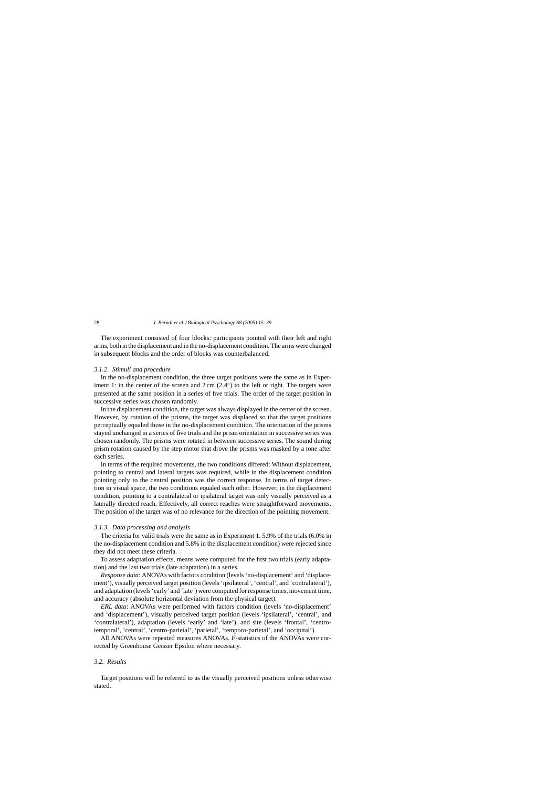The experiment consisted of four blocks: participants pointed with their left and right arms, both in the displacement and in the no-displacement condition. The arms were changed in subsequent blocks and the order of blocks was counterbalanced.

## *3.1.2. Stimuli and procedure*

In the no-displacement condition, the three target positions were the same as in Experiment 1: in the center of the screen and  $2 \text{ cm } (2.4\degree)$  to the left or right. The targets were presented at the same position in a series of five trials. The order of the target position in successive series was chosen randomly.

In the displacement condition, the target was always displayed in the center of the screen. However, by rotation of the prisms, the target was displaced so that the target positions perceptually equaled those in the no-displacement condition. The orientation of the prisms stayed unchanged in a series of five trials and the prism orientation in successive series was chosen randomly. The prisms were rotated in between successive series. The sound during prism rotation caused by the step motor that drove the prisms was masked by a tone after each series.

In terms of the required movements, the two conditions differed: Without displacement, pointing to central and lateral targets was required, while in the displacement condition pointing only to the central position was the correct response. In terms of target detection in visual space, the two conditions equaled each other. However, in the displacement condition, pointing to a contralateral or ipsilateral target was only visually perceived as a laterally directed reach. Effectively, all correct reaches were straightforward movements. The position of the target was of no relevance for the direction of the pointing movement.

## *3.1.3. Data processing and analysis*

The criteria for valid trials were the same as in Experiment 1. 5.9% of the trials (6.0% in the no-displacement condition and 5.8% in the displacement condition) were rejected since they did not meet these criteria.

To assess adaptation effects, means were computed for the first two trials (early adaptation) and the last two trials (late adaptation) in a series.

*Response data*: ANOVAs with factors condition (levels 'no-displacement' and 'displacement'), visually perceived target position (levels 'ipsilateral', 'central', and 'contralateral'), and adaptation (levels 'early' and 'late') were computed for response times, movement time, and accuracy (absolute horizontal deviation from the physical target).

*ERL data*: ANOVAs were performed with factors condition (levels 'no-displacement' and 'displacement'), visually perceived target position (levels 'ipsilateral', 'central', and 'contralateral'), adaptation (levels 'early' and 'late'), and site (levels 'frontal', 'centrotemporal', 'central', 'centro-parietal', 'parietal', 'temporo-parietal', and 'occipital').

All ANOVAs were repeated measures ANOVAs. *F*-statistics of the ANOVAs were corrected by Greenhouse Geisser Epsilon where necessary.

# *3.2. Results*

Target positions will be referred to as the visually perceived positions unless otherwise stated.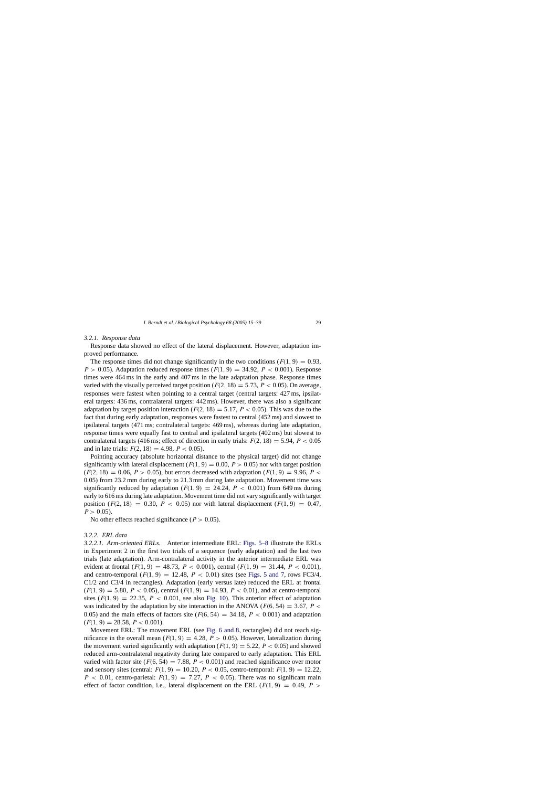## *3.2.1. Response data*

Response data showed no effect of the lateral displacement. However, adaptation improved performance.

The response times did not change significantly in the two conditions  $(F(1, 9) = 0.93$ ,  $P > 0.05$ ). Adaptation reduced response times  $(F(1, 9) = 34.92, P < 0.001)$ . Response times were 464 ms in the early and 407 ms in the late adaptation phase. Response times varied with the visually perceived target position ( $F(2, 18) = 5.73$ ,  $P < 0.05$ ). On average, responses were fastest when pointing to a central target (central targets: 427 ms, ipsilateral targets: 436 ms, contralateral targets: 442 ms). However, there was also a significant adaptation by target position interaction ( $F(2, 18) = 5.17$ ,  $P < 0.05$ ). This was due to the fact that during early adaptation, responses were fastest to central (452 ms) and slowest to ipsilateral targets (471 ms; contralateral targets: 469 ms), whereas during late adaptation, response times were equally fast to central and ipsilateral targets (402 ms) but slowest to contralateral targets (416 ms; effect of direction in early trials:  $F(2, 18) = 5.94$ ,  $P < 0.05$ and in late trials:  $F(2, 18) = 4.98$ ,  $P < 0.05$ ).

Pointing accuracy (absolute horizontal distance to the physical target) did not change significantly with lateral displacement ( $F(1, 9) = 0.00$ ,  $P > 0.05$ ) nor with target position  $(F(2, 18) = 0.06, P > 0.05)$ , but errors decreased with adaptation  $(F(1, 9) = 9.96, P <$ 0.05) from 23.2 mm during early to 21.3 mm during late adaptation. Movement time was significantly reduced by adaptation  $(F(1, 9) = 24.24, P < 0.001)$  from 649 ms during early to 616 ms during late adaptation. Movement time did not vary significantly with target position  $(F(2, 18) = 0.30, P < 0.05)$  nor with lateral displacement  $(F(1, 9) = 0.47,$  $P > 0.05$ ).

No other effects reached significance ( $P > 0.05$ ).

## *3.2.2. ERL data*

*3.2.2.1. Arm-oriented ERLs.* Anterior intermediate ERL: [Figs. 5–8](#page-15-0) illustrate the ERLs in Experiment 2 in the first two trials of a sequence (early adaptation) and the last two trials (late adaptation). Arm-contralateral activity in the anterior intermediate ERL was evident at frontal  $(F(1, 9) = 48.73, P < 0.001)$ , central  $(F(1, 9) = 31.44, P < 0.001)$ , and centro-temporal  $(F(1, 9) = 12.48, P < 0.01)$  sites (see [Figs. 5 and 7,](#page-15-0) rows FC3/4, C1/2 and C3/4 in rectangles). Adaptation (early versus late) reduced the ERL at frontal  $(F(1, 9) = 5.80, P < 0.05)$ , central  $(F(1, 9) = 14.93, P < 0.01)$ , and at centro-temporal sites  $(F(1, 9) = 22.35, P < 0.001$ , see also [Fig. 10\).](#page-20-0) This anterior effect of adaptation was indicated by the adaptation by site interaction in the ANOVA ( $F(6, 54) = 3.67$ ,  $P <$ 0.05) and the main effects of factors site ( $F(6, 54) = 34.18$ ,  $P < 0.001$ ) and adaptation  $(F(1, 9) = 28.58, P < 0.001).$ 

Movement ERL: The movement ERL (see [Fig. 6 and 8,](#page-16-0) rectangles) did not reach significance in the overall mean ( $F(1, 9) = 4.28$ ,  $P > 0.05$ ). However, lateralization during the movement varied significantly with adaptation ( $F(1, 9) = 5.22$ ,  $P < 0.05$ ) and showed reduced arm-contralateral negativity during late compared to early adaptation. This ERL varied with factor site ( $F(6, 54) = 7.88$ ,  $P < 0.001$ ) and reached significance over motor and sensory sites (central:  $F(1, 9) = 10.20$ ,  $P < 0.05$ , centro-temporal:  $F(1, 9) = 12.22$ ,  $P < 0.01$ , centro-parietal:  $F(1, 9) = 7.27$ ,  $P < 0.05$ ). There was no significant main effect of factor condition, i.e., lateral displacement on the ERL  $(F(1, 9) = 0.49, P >$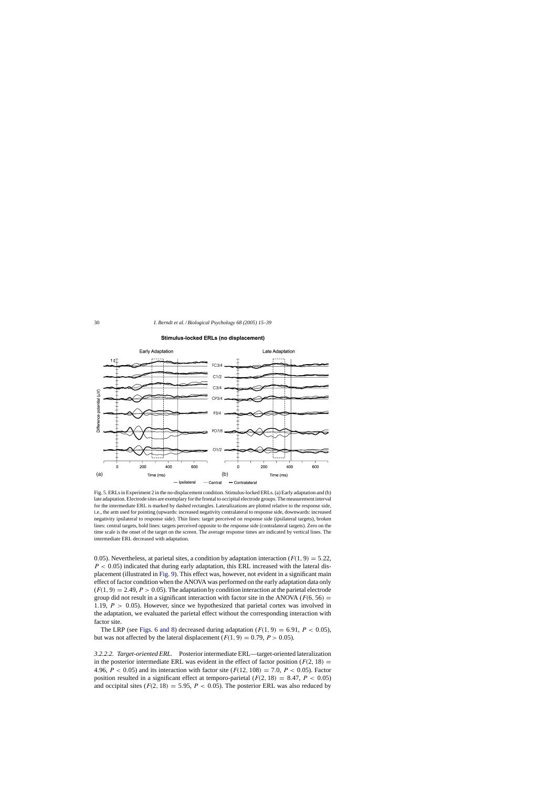<span id="page-15-0"></span>

#### Stimulus-locked ERLs (no displacement)

Fig. 5. ERLs in Experiment 2 in the no-displacement condition. Stimulus-locked ERLs. (a) Early adaptation and (b) late adaptation. Electrode sites are exemplary for the frontal to occipital electrode groups. The measurement interval for the intermediate ERL is marked by dashed rectangles. Lateralizations are plotted relative to the response side, i.e., the arm used for pointing (upwards: increased negativity contralateral to response side, downwards: increased negativity ipsilateral to response side). Thin lines: target perceived on response side (ipsilateral targets), broken lines: central targets, bold lines: targets perceived opposite to the response side (contralateral targets). Zero on the time scale is the onset of the target on the screen. The average response times are indicated by vertical lines. The intermediate ERL decreased with adaptation.

0.05). Nevertheless, at parietal sites, a condition by adaptation interaction ( $F(1, 9) = 5.22$ ,  $P < 0.05$ ) indicated that during early adaptation, this ERL increased with the lateral displacement (illustrated in [Fig. 9\).](#page-19-0) This effect was, however, not evident in a significant main effect of factor condition when the ANOVA was performed on the early adaptation data only  $(F(1, 9) = 2.49, P > 0.05)$ . The adaptation by condition interaction at the parietal electrode group did not result in a significant interaction with factor site in the ANOVA ( $F(6, 56)$ ) = 1.19,  $P > 0.05$ ). However, since we hypothesized that parietal cortex was involved in the adaptation, we evaluated the parietal effect without the corresponding interaction with factor site.

The LRP (see [Figs. 6 and 8\)](#page-16-0) decreased during adaptation  $(F(1, 9) = 6.91, P < 0.05)$ , but was not affected by the lateral displacement  $(F(1, 9) = 0.79, P > 0.05)$ .

*3.2.2.2. Target-oriented ERL.* Posterior intermediate ERL—target-oriented lateralization in the posterior intermediate ERL was evident in the effect of factor position ( $F(2, 18) =$ 4.96,  $P < 0.05$ ) and its interaction with factor site ( $F(12, 108) = 7.0$ ,  $P < 0.05$ ). Factor position resulted in a significant effect at temporo-parietal  $(F(2, 18) = 8.47, P < 0.05)$ and occipital sites ( $F(2, 18) = 5.95$ ,  $P < 0.05$ ). The posterior ERL was also reduced by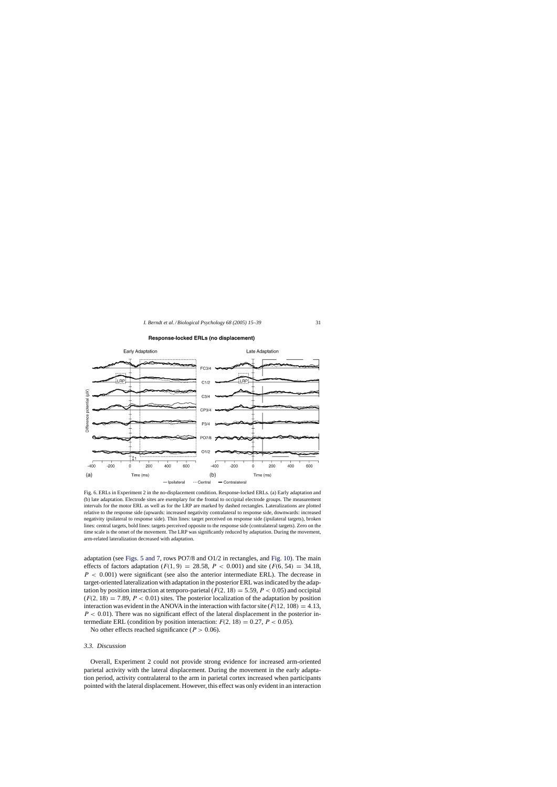<span id="page-16-0"></span>

#### Response-locked ERLs (no displacement)

Fig. 6. ERLs in Experiment 2 in the no-displacement condition. Response-locked ERLs. (a) Early adaptation and (b) late adaptation. Electrode sites are exemplary for the frontal to occipital electrode groups. The measurement intervals for the motor ERL as well as for the LRP are marked by dashed rectangles. Lateralizations are plotted relative to the response side (upwards: increased negativity contralateral to response side, downwards: increased negativity ipsilateral to response side). Thin lines: target perceived on response side (ipsilateral targets), broken lines: central targets, bold lines: targets perceived opposite to the response side (contralateral targets). Zero on the time scale is the onset of the movement. The LRP was significantly reduced by adaptation. During the movement, arm-related lateralization decreased with adaptation.

adaptation (see [Figs. 5 and 7,](#page-15-0) rows PO7/8 and O1/2 in rectangles, and [Fig. 10\).](#page-20-0) The main effects of factors adaptation  $(F(1, 9) = 28.58, P < 0.001)$  and site  $(F(6, 54) = 34.18,$  $P < 0.001$ ) were significant (see also the anterior intermediate ERL). The decrease in target-oriented lateralization with adaptation in the posterior ERL was indicated by the adaptation by position interaction at temporo-parietal  $(F(2, 18) = 5.59, P < 0.05)$  and occipital  $(F(2, 18) = 7.89, P < 0.01)$  sites. The posterior localization of the adaptation by position interaction was evident in the ANOVA in the interaction with factor site ( $F(12, 108) = 4.13$ ,  $P < 0.01$ ). There was no significant effect of the lateral displacement in the posterior intermediate ERL (condition by position interaction:  $F(2, 18) = 0.27, P < 0.05$ ).

No other effects reached significance ( $P > 0.06$ ).

# *3.3. Discussion*

Overall, Experiment 2 could not provide strong evidence for increased arm-oriented parietal activity with the lateral displacement. During the movement in the early adaptation period, activity contralateral to the arm in parietal cortex increased when participants pointed with the lateral displacement. However, this effect was only evident in an interaction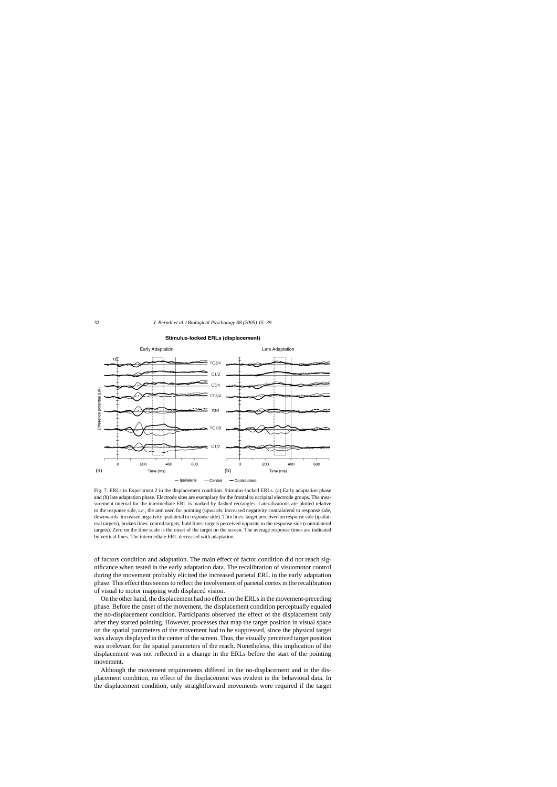

#### Stimulus-locked ERLs (displacement)

Fig. 7. ERLs in Experiment 2 in the displacement condition. Stimulus-locked ERLs. (a) Early adaptation phase and (b) late adaptation phase. Electrode sites are exemplary for the frontal to occipital electrode groups. The measurement interval for the intermediate ERL is marked by dashed rectangles. Lateralizations are plotted relative to the response side, i.e., the arm used for pointing (upwards: increased negativity contralateral to response side, downwards: increased negativity ipsilateral to response side). Thin lines: target perceived on response side (ipsilateral targets), broken lines: central targets, bold lines: targets perceived opposite to the response side (contralateral targets). Zero on the time scale is the onset of the target on the screen. The average response times are indicated by vertical lines. The intermediate ERL decreased with adaptation.

of factors condition and adaptation. The main effect of factor condition did not reach significance when tested in the early adaptation data. The recalibration of visuomotor control during the movement probably elicited the increased parietal ERL in the early adaptation phase. This effect thus seems to reflect the involvement of parietal cortex in the recalibration of visual to motor mapping with displaced vision.

On the other hand, the displacement had no effect on the ERLs in the movement-preceding phase. Before the onset of the movement, the displacement condition perceptually equaled the no-displacement condition. Participants observed the effect of the displacement only after they started pointing. However, processes that map the target position in visual space on the spatial parameters of the movement had to be suppressed, since the physical target was always displayed in the center of the screen. Thus, the visually perceived target position was irrelevant for the spatial parameters of the reach. Nonetheless, this implication of the displacement was not reflected in a change in the ERLs before the start of the pointing movement.

Although the movement requirements differed in the no-displacement and in the displacement condition, no effect of the displacement was evident in the behavioral data. In the displacement condition, only straightforward movements were required if the target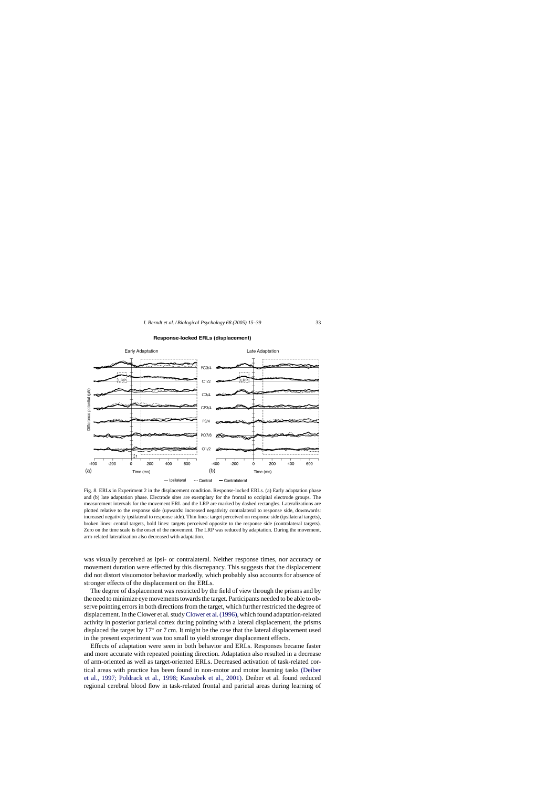

#### Response-locked ERLs (displacement)

Fig. 8. ERLs in Experiment 2 in the displacement condition. Response-locked ERLs. (a) Early adaptation phase and (b) late adaptation phase. Electrode sites are exemplary for the frontal to occipital electrode groups. The measurement intervals for the movement ERL and the LRP are marked by dashed rectangles. Lateralizations are plotted relative to the response side (upwards: increased negativity contralateral to response side, downwards: increased negativity ipsilateral to response side). Thin lines: target perceived on response side (ipsilateral targets), broken lines: central targets, bold lines: targets perceived opposite to the response side (contralateral targets). Zero on the time scale is the onset of the movement. The LRP was reduced by adaptation. During the movement, arm-related lateralization also decreased with adaptation.

was visually perceived as ipsi- or contralateral. Neither response times, nor accuracy or movement duration were effected by this discrepancy. This suggests that the displacement did not distort visuomotor behavior markedly, which probably also accounts for absence of stronger effects of the displacement on the ERLs.

The degree of displacement was restricted by the field of view through the prisms and by the need to minimize eye movements towards the target. Participants needed to be able to observe pointing errors in both directions from the target, which further restricted the degree of displacement. In the Clower et al. study [Clower et al. \(1996\), w](#page-22-0)hich found adaptation-related activity in posterior parietal cortex during pointing with a lateral displacement, the prisms displaced the target by 17◦ or 7 cm. It might be the case that the lateral displacement used in the present experiment was too small to yield stronger displacement effects.

Effects of adaptation were seen in both behavior and ERLs. Responses became faster and more accurate with repeated pointing direction. Adaptation also resulted in a decrease of arm-oriented as well as target-oriented ERLs. Decreased activation of task-related cortical areas with practice has been found in non-motor and motor learning tasks [\(Deiber](#page-22-0) [et al., 1997; Poldrack et al., 1998; Kassubek et al., 2001](#page-22-0)). Deiber et al. found reduced regional cerebral blood flow in task-related frontal and parietal areas during learning of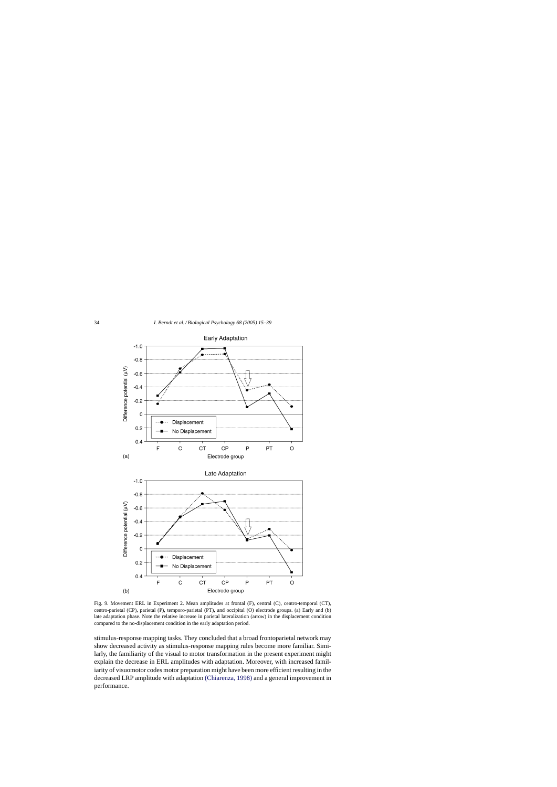<span id="page-19-0"></span>

Early Adaptation

Fig. 9. Movement ERL in Experiment 2. Mean amplitudes at frontal (F), central (C), centro-temporal (CT), centro-parietal (CP), parietal (P), temporo-parietal (PT), and occipital (O) electrode groups. (a) Early and (b) late adaptation phase. Note the relative increase in parietal lateralization (arrow) in the displacement condition compared to the no-displacement condition in the early adaptation period.

stimulus-response mapping tasks. They concluded that a broad frontoparietal network may show decreased activity as stimulus-response mapping rules become more familiar. Similarly, the familiarity of the visual to motor transformation in the present experiment might explain the decrease in ERL amplitudes with adaptation. Moreover, with increased familiarity of visuomotor codes motor preparation might have been more efficient resulting in the decreased LRP amplitude with adaptation [\(Chiarenza, 1998\)](#page-22-0) and a general improvement in performance.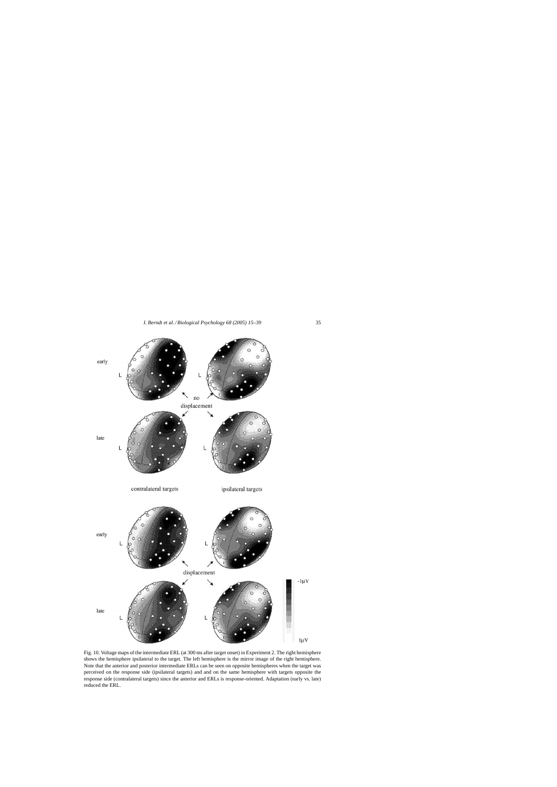<span id="page-20-0"></span>

Fig. 10. Voltage maps of the intermediate ERL (at 300 ms after target onset) in Experiment 2. The right hemisphere shows the hemisphere ipsilateral to the target. The left hemisphere is the mirror image of the right hemisphere. Note that the anterior and posterior intermediate ERLs can be seen on opposite hemispheres when the target was perceived on the response side (ipsilateral targets) and and on the same hemisphere with targets opposite the response side (contralateral targets) since the anterior and ERLs is response-oriented. Adaptation (early vs. late) reduced the ERL.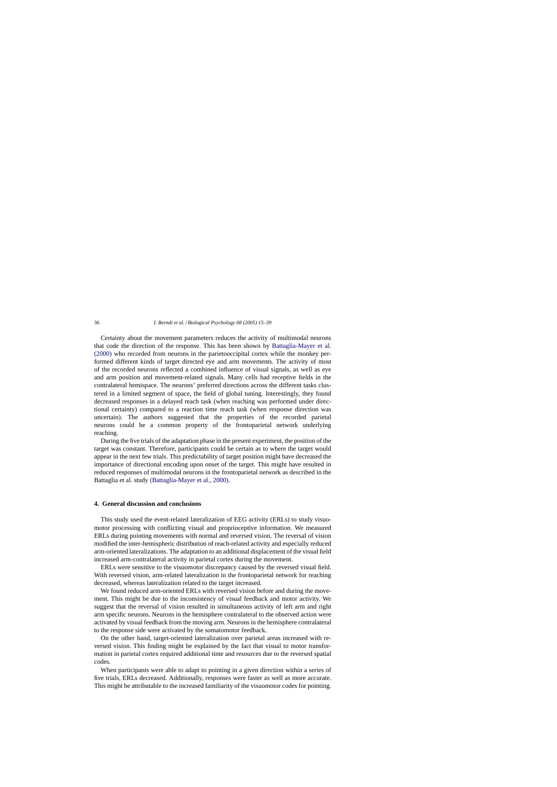Certainty about the movement parameters reduces the activity of multimodal neurons that code the direction of the response. This has been shown by [Battaglia-Mayer et al.](#page-22-0) [\(2000\)](#page-22-0) who recorded from neurons in the parietooccipital cortex while the monkey performed different kinds of target directed eye and arm movements. The activity of most of the recorded neurons reflected a combined influence of visual signals, as well as eye and arm position and movement-related signals. Many cells had receptive fields in the contralateral hemispace. The neurons' preferred directions across the different tasks clustered in a limited segment of space, the field of global tuning. Interestingly, they found decreased responses in a delayed reach task (when reaching was performed under directional certainty) compared to a reaction time reach task (when response direction was uncertain). The authors suggested that the properties of the recorded parietal neurons could be a common property of the frontoparietal network underlying reaching.

During the five trials of the adaptation phase in the present experiment, the position of the target was constant. Therefore, participants could be certain as to where the target would appear in the next few trials. This predictability of target position might have decreased the importance of directional encoding upon onset of the target. This might have resulted in reduced responses of multimodal neurons in the frontoparietal network as described in the Battaglia et al. study [\(Battaglia-Mayer et al., 2000\).](#page-22-0)

## **4. General discussion and conclusions**

This study used the event-related lateralization of EEG activity (ERLs) to study visuomotor processing with conflicting visual and proprioceptive information. We measured ERLs during pointing movements with normal and reversed vision. The reversal of vision modified the inter-hemispheric distribution of reach-related activity and especially reduced arm-oriented lateralizations. The adaptation to an additional displacement of the visual field increased arm-contralateral activity in parietal cortex during the movement.

ERLs were sensitive to the visuomotor discrepancy caused by the reversed visual field. With reversed vision, arm-related lateralization in the frontoparietal network for reaching decreased, whereas lateralization related to the target increased.

We found reduced arm-oriented ERLs with reversed vision before and during the movement. This might be due to the inconsistency of visual feedback and motor activity. We suggest that the reversal of vision resulted in simultaneous activity of left arm and right arm specific neurons. Neurons in the hemisphere contralateral to the observed action were activated by visual feedback from the moving arm. Neurons in the hemisphere contralateral to the response side were activated by the somatomotor feedback.

On the other hand, target-oriented lateralization over parietal areas increased with reversed vision. This finding might be explained by the fact that visual to motor transformation in parietal cortex required additional time and resources due to the reversed spatial codes.

When participants were able to adapt to pointing in a given direction within a series of five trials, ERLs decreased. Additionally, responses were faster as well as more accurate. This might be attributable to the increased familiarity of the visuomotor codes for pointing.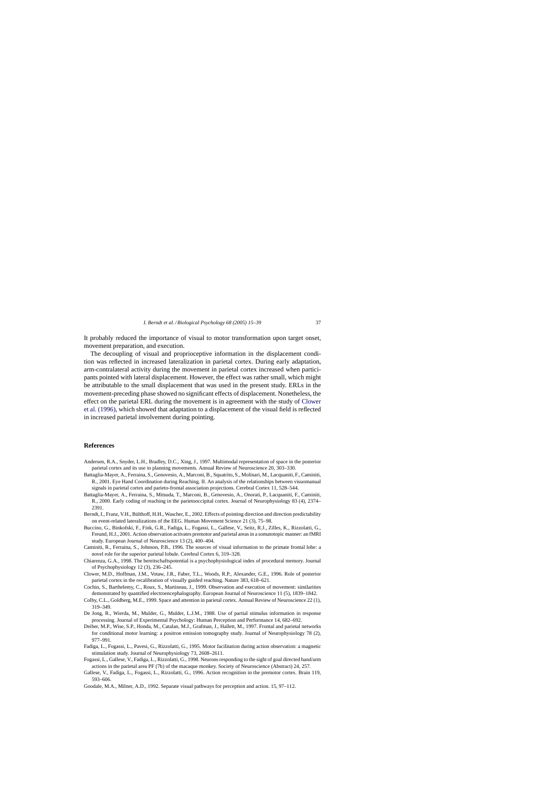<span id="page-22-0"></span>It probably reduced the importance of visual to motor transformation upon target onset, movement preparation, and execution.

The decoupling of visual and proprioceptive information in the displacement condition was reflected in increased lateralization in parietal cortex. During early adaptation, arm-contralateral activity during the movement in parietal cortex increased when participants pointed with lateral displacement. However, the effect was rather small, which might be attributable to the small displacement that was used in the present study. ERLs in the movement-preceding phase showed no significant effects of displacement. Nonetheless, the effect on the parietal ERL during the movement is in agreement with the study of Clower et al. (1996), which showed that adaptation to a displacement of the visual field is reflected in increased parietal involvement during pointing.

# **References**

- Andersen, R.A., Snyder, L.H., Bradley, D.C., Xing, J., 1997. Multimodal representation of space in the posterior parietal cortex and its use in planning movements. Annual Review of Neuroscience 20, 303–330.
- Battaglia-Mayer, A., Ferraina, S., Genovesio, A., Marconi, B., Squatrito, S., Molinari, M., Lacquaniti, F., Caminiti, R., 2001. Eye Hand Coordination during Reaching. II. An analysis of the relationships between visuomanual signals in parietal cortex and parieto-frontal association projections. Cerebral Cortex 11, 528–544.
- Battaglia-Mayer, A., Ferraina, S., Mitsuda, T., Marconi, B., Genovesio, A., Onorati, P., Lacquaniti, F., Caminiti, R., 2000. Early coding of reaching in the parietooccipital cortex. Journal of Neurophysiology 83 (4), 2374– 2391.
- Berndt, I., Franz, V.H., Bülthoff, H.H., Wascher, E., 2002. Effects of pointing direction and direction predictability on event-related lateralizations of the EEG. Human Movement Science 21 (3), 75–98.
- Buccino, G., Binkofski, F., Fink, G.R., Fadiga, L., Fogassi, L., Gallese, V., Seitz, R.J., Zilles, K., Rizzolatti, G., Freund, H.J., 2001. Action observation activates premotor and parietal areas in a somatotopic manner: an fMRI study. European Journal of Neuroscience 13 (2), 400–404.
- Caminiti, R., Ferraina, S., Johnson, P.B., 1996. The sources of visual information to the primate frontal lobe: a novel role for the superior parietal lobule. Cerebral Cortex 6, 319–328.
- Chiarenza, G.A., 1998. The bereitschaftspotential is a psychophysiological index of procedural memory. Journal of Psychophysiology 12 (3), 236–245.
- Clower, M.D., Hoffman, J.M., Votaw, J.R., Faber, T.L., Woods, R.P., Alexander, G.E., 1996. Role of posterior parietal cortex in the recalibration of visually guided reaching. Nature 383, 618–621.
- Cochin, S., Barthelemy, C., Roux, S., Martineau, J., 1999. Observation and execution of movement: similarities demonstrated by quantified electroencephalography. European Journal of Neuroscience 11 (5), 1839–1842.
- Colby, C.L., Goldberg, M.E., 1999. Space and attention in parietal cortex. Annual Review of Neuroscience 22 (1), 319–349.
- De Jong, R., Wierda, M., Mulder, G., Mulder, L.J.M., 1988. Use of partial stimulus information in response processing. Journal of Experimental Psychology: Human Perception and Performance 14, 682–692.
- Deiber, M.P., Wise, S.P., Honda, M., Catalan, M.J., Grafman, J., Hallett, M., 1997. Frontal and parietal networks for conditional motor learning: a positron emission tomography study. Journal of Neurophysiology 78 (2), 977–991.
- Fadiga, L., Fogassi, L., Pavesi, G., Rizzolatti, G., 1995. Motor facilitation during action observation: a magnetic stimulation study. Journal of Neurophysiology 73, 2608–2611.
- Fogassi, L., Gallese, V., Fadiga, L., Rizzolatti, G., 1998. Neurons responding to the sight of goal directed hand/arm actions in the parietal area PF (7b) of the macaque monkey. Society of Neuroscience (Abstract) 24, 257.
- Gallese, V., Fadiga, L., Fogassi, L., Rizzolatti, G., 1996. Action recognition in the premotor cortex. Brain 119, 593–606.
- Goodale, M.A., Milner, A.D., 1992. Separate visual pathways for perception and action. 15, 97–112.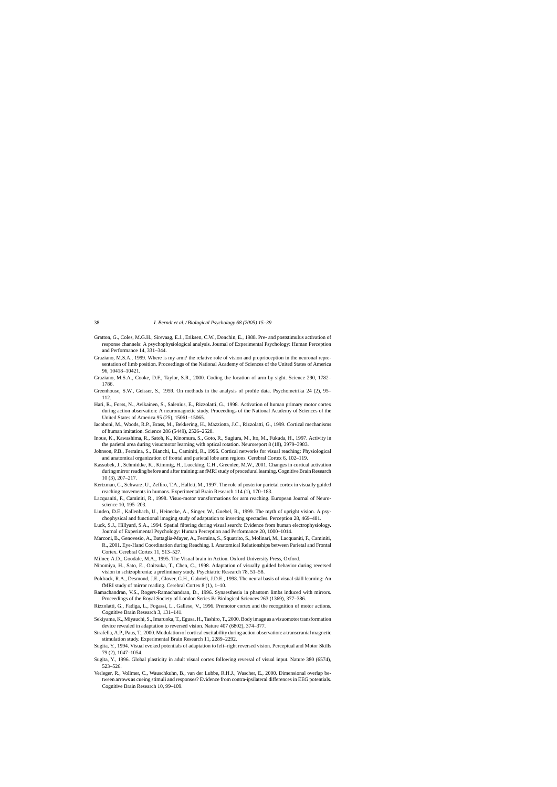- <span id="page-23-0"></span>Gratton, G., Coles, M.G.H., Sirevaag, E.J., Eriksen, C.W., Donchin, E., 1988. Pre- and poststimulus activation of response channels: A psychophysiological analysis. Journal of Experimental Psychology: Human Perception and Performance 14, 331–344.
- Graziano, M.S.A., 1999. Where is my arm? the relative role of vision and proprioception in the neuronal representation of limb position. Proceedings of the National Academy of Sciences of the United States of America 96, 10418–10421.
- Graziano, M.S.A., Cooke, D.F., Taylor, S.R., 2000. Coding the location of arm by sight. Science 290, 1782– 1786.
- Greenhouse, S.W., Geisser, S., 1959. On methods in the analysis of profile data. Psychometrika 24 (2), 95– 112.
- Hari, R., Forss, N., Avikainen, S., Salenius, E., Rizzolatti, G., 1998. Activation of human primary motor cortex during action observation: A neuromagnetic study. Proceedings of the National Academy of Sciences of the United States of America 95 (25), 15061–15065.
- Iacoboni, M., Woods, R.P., Brass, M., Bekkering, H., Mazziotta, J.C., Rizzolatti, G., 1999. Cortical mechanisms of human imitation. Science 286 (5449), 2526–2528.
- Inoue, K., Kawashima, R., Satoh, K., Kinomura, S., Goto, R., Sugiura, M., Ito, M., Fukuda, H., 1997. Activity in the parietal area during visuomotor learning with optical rotation. Neuroreport 8 (18), 3979–3983.
- Johnson, P.B., Ferraina, S., Bianchi, L., Caminiti, R., 1996. Cortical networks for visual reaching: Physiological and anatomical organization of frontal and parietal lobe arm regions. Cerebral Cortex 6, 102–119.
- Kassubek, J., Schmidtke, K., Kimmig, H., Luecking, C.H., Greenlee, M.W., 2001. Changes in cortical activation during mirror reading before and after training: an fMRI study of procedural learning. Cognitive Brain Research 10 (3), 207–217.
- Kertzman, C., Schwarz, U., Zeffiro, T.A., Hallett, M., 1997. The role of posterior parietal cortex in visually guided reaching movements in humans. Experimental Brain Research 114 (1), 170–183.
- Lacquaniti, F., Caminiti, R., 1998. Visuo-motor transformations for arm reaching. European Journal of Neuroscience 10, 195–203.
- Linden, D.E., Kallenbach, U., Heinecke, A., Singer, W., Goebel, R., 1999. The myth of upright vision. A psychophysical and functional imaging study of adaptation to inverting spectacles. Perception 28, 469–481.
- Luck, S.J., Hillyard, S.A., 1994. Spatial filtering during visual search: Evidence from human electrophysiology. Journal of Experimental Psychology: Human Perception and Performance 20, 1000–1014.
- Marconi, B., Genovesio, A., Battaglia-Mayer, A., Ferraina, S., Squatrito, S., Molinari, M., Lacquaniti, F., Caminiti, R., 2001. Eye-Hand Coordination during Reaching. I. Anatomical Relationships between Parietal and Frontal Cortex. Cerebral Cortex 11, 513–527.
- Milner, A.D., Goodale, M.A., 1995. The Visual brain in Action. Oxford University Press, Oxford.
- Ninomiya, H., Sato, E., Onitsuka, T., Chen, C., 1998. Adaptation of visually guided behavior during reversed vision in schizophrenia: a preliminary study. Psychiatric Research 78, 51–58.
- Poldrack, R.A., Desmond, J.E., Glover, G.H., Gabrieli, J.D.E., 1998. The neural basis of visual skill learning: An fMRI study of mirror reading. Cerebral Cortex 8 (1), 1–10.
- Ramachandran, V.S., Rogers-Ramachandran, D., 1996. Synaesthesia in phantom limbs induced with mirrors. Proceedings of the Royal Society of London Series B: Biological Sciences 263 (1369), 377–386.
- Rizzolatti, G., Fadiga, L., Fogassi, L., Gallese, V., 1996. Premotor cortex and the recognition of motor actions. Cognitive Brain Research 3, 131–141.
- Sekiyama, K., Miyauchi, S., Imaruoka, T., Egusa, H., Tashiro, T., 2000. Body image as a visuomotor transformation device revealed in adaptation to reversed vision. Nature 407 (6802), 374–377.
- Strafella, A.P., Paus, T., 2000. Modulation of cortical excitability during action observation: a transcranial magnetic stimulation study. Experimental Brain Research 11, 2289–2292.
- Sugita, Y., 1994. Visual evoked potentials of adaptation to left–right reversed vision. Perceptual and Motor Skills 79 (2), 1047–1054.
- Sugita, Y., 1996. Global plasticity in adult visual cortex following reversal of visual input. Nature 380 (6574), 523–526.
- Verleger, R., Vollmer, C., Wauschkuhn, B., van der Lubbe, R.H.J., Wascher, E., 2000. Dimensional overlap between arrows as cueing stimuli and responses? Evidence from contra-ipsilateral differences in EEG potentials. Cognitive Brain Research 10, 99–109.